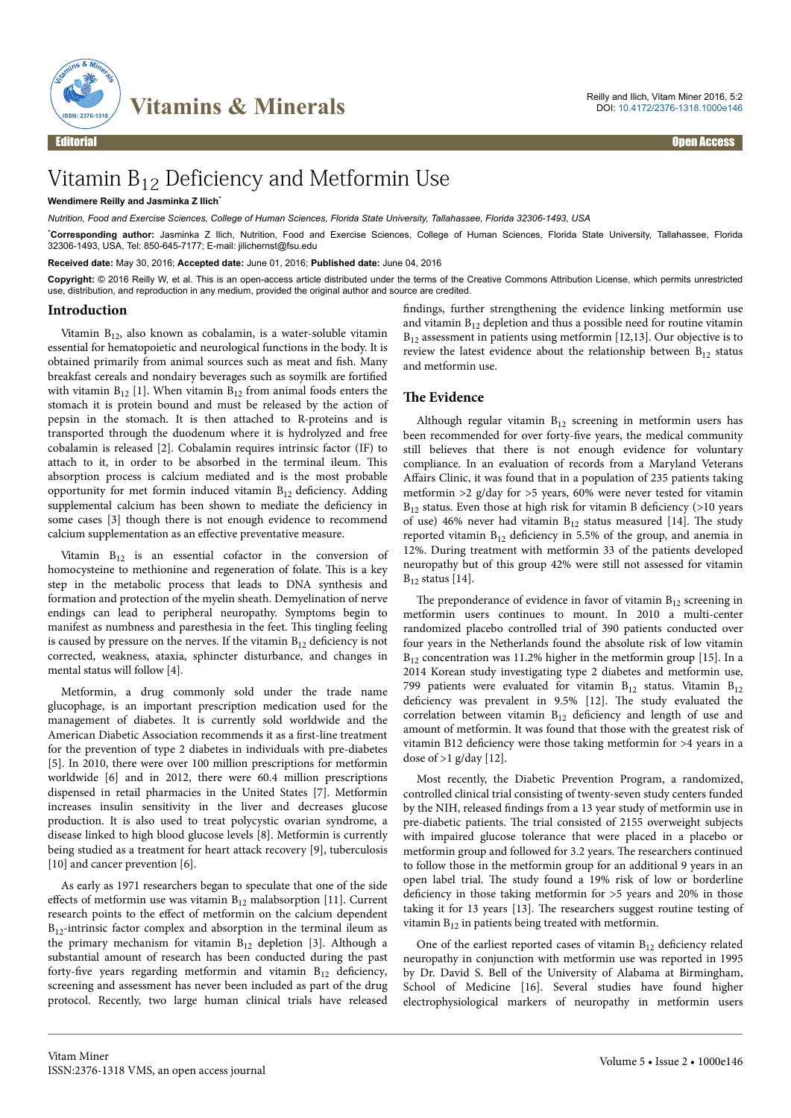

# Vitamin B12 Deficiency and Metformin Use

## **Wendimere Reilly and Jasminka Z Ilich**\*

*Nutrition, Food and Exercise Sciences, College of Human Sciences, Florida State University, Tallahassee, Florida 32306-1493, USA*

\***Corresponding author:** Jasminka Z Ilich, Nutrition, Food and Exercise Sciences, College of Human Sciences, Florida State University, Tallahassee, Florida 32306-1493, USA, Tel: 850-645-7177; E-mail: jilichernst@fsu.edu

**Received date:** May 30, 2016; **Accepted date:** June 01, 2016; **Published date:** June 04, 2016

**Copyright:** © 2016 Reilly W, et al. This is an open-access article distributed under the terms of the Creative Commons Attribution License, which permits unrestricted use, distribution, and reproduction in any medium, provided the original author and source are credited.

### **Introduction**

Vitamin B12, also known as cobalamin, is a water-soluble vitamin essential for hematopoietic and neurological functions in the body. It is obtained primarily from animal sources such as meat and fish. Many breakfast cereals and nondairy beverages such as soymilk are fortified with vitamin  $B_{12}$  [1]. When vitamin  $B_{12}$  from animal foods enters the stomach it is protein bound and must be released by the action of pepsin in the stomach. It is then attached to R-proteins and is transported through the duodenum where it is hydrolyzed and free cobalamin is released [2]. Cobalamin requires intrinsic factor (IF) to attach to it, in order to be absorbed in the terminal ileum. Нis absorption process is calcium mediated and is the most probable opportunity for met formin induced vitamin  $B_{12}$  deficiency. Adding supplemental calcium has been shown to mediate the deficiency in some cases [3] though there is not enough evidence to recommend calcium supplementation as an effective preventative measure.

Vitamin  $B_{12}$  is an essential cofactor in the conversion of homocysteine to methionine and regeneration of folate. This is a key step in the metabolic process that leads to DNA synthesis and formation and protection of the myelin sheath. Demyelination of nerve endings can lead to peripheral neuropathy. Symptoms begin to manifest as numbness and paresthesia in the feet. Нis tingling feeling is caused by pressure on the nerves. If the vitamin  $B_{12}$  deficiency is not corrected, weakness, ataxia, sphincter disturbance, and changes in mental status will follow [4].

Metformin, a drug commonly sold under the trade name glucophage, is an important prescription medication used for the management of diabetes. It is currently sold worldwide and the American Diabetic Association recommends it as a first-line treatment for the prevention of type 2 diabetes in individuals with pre-diabetes [5]. In 2010, there were over 100 million prescriptions for metformin worldwide [6] and in 2012, there were 60.4 million prescriptions dispensed in retail pharmacies in the United States [7]. Metformin increases insulin sensitivity in the liver and decreases glucose production. It is also used to treat polycystic ovarian syndrome, a disease linked to high blood glucose levels [8]. Metformin is currently being studied as a treatment for heart attack recovery [9], tuberculosis [10] and cancer prevention [6].

As early as 1971 researchers began to speculate that one of the side effects of metformin use was vitamin  $B_{12}$  malabsorption [11]. Current research points to the effect of metformin on the calcium dependent  $B_{12}$ -intrinsic factor complex and absorption in the terminal ileum as the primary mechanism for vitamin  $B_{12}$  depletion [3]. Although a substantial amount of research has been conducted during the past forty-five years regarding metformin and vitamin  $B_{12}$  deficiency, screening and assessment has never been included as part of the drug protocol. Recently, two large human clinical trials have released

findings, further strengthening the evidence linking metformin use and vitamin  $B_{12}$  depletion and thus a possible need for routine vitamin  $B_{12}$  assessment in patients using metformin [12,13]. Our objective is to review the latest evidence about the relationship between  $B_{12}$  status and metformin use.

## **The Evidence**

Although regular vitamin  $B_{12}$  screening in metformin users has been recommended for over forty-five years, the medical community still believes that there is not enough evidence for voluntary compliance. In an evaluation of records from a Maryland Veterans Affairs Clinic, it was found that in a population of 235 patients taking metformin >2 g/day for >5 years, 60% were never tested for vitamin  $B_{12}$  status. Even those at high risk for vitamin B deficiency (>10 years of use) 46% never had vitamin  $B_{12}$  status measured [14]. The study reported vitamin  $B_{12}$  deficiency in 5.5% of the group, and anemia in 12%. During treatment with metformin 33 of the patients developed neuropathy but of this group 42% were still not assessed for vitamin  $B_{12}$  status [14].

The preponderance of evidence in favor of vitamin  $B_{12}$  screening in metformin users continues to mount. In 2010 a multi-center randomized placebo controlled trial of 390 patients conducted over four years in the Netherlands found the absolute risk of low vitamin  $B_{12}$  concentration was 11.2% higher in the metformin group [15]. In a 2014 Korean study investigating type 2 diabetes and metformin use, 799 patients were evaluated for vitamin  $B_{12}$  status. Vitamin  $B_{12}$ deficiency was prevalent in 9.5% [12]. The study evaluated the correlation between vitamin  $B_{12}$  deficiency and length of use and amount of metformin. It was found that those with the greatest risk of vitamin B12 deficiency were those taking metformin for >4 years in a dose of  $>1$  g/day [12].

Most recently, the Diabetic Prevention Program, a randomized, controlled clinical trial consisting of twenty-seven study centers funded by the NIH, released findings from a 13 year study of metformin use in pre-diabetic patients. Нe trial consisted of 2155 overweight subjects with impaired glucose tolerance that were placed in a placebo or metformin group and followed for 3.2 years. Нe researchers continued to follow those in the metformin group for an additional 9 years in an open label trial. Нe study found a 19% risk of low or borderline deficiency in those taking metformin for >5 years and 20% in those taking it for 13 years [13]. Нe researchers suggest routine testing of vitamin  $B_{12}$  in patients being treated with metformin.

One of the earliest reported cases of vitamin  $B_{12}$  deficiency related neuropathy in conjunction with metformin use was reported in 1995 by Dr. David S. Bell of the University of Alabama at Birmingham, School of Medicine [16]. Several studies have found higher electrophysiological markers of neuropathy in metformin users